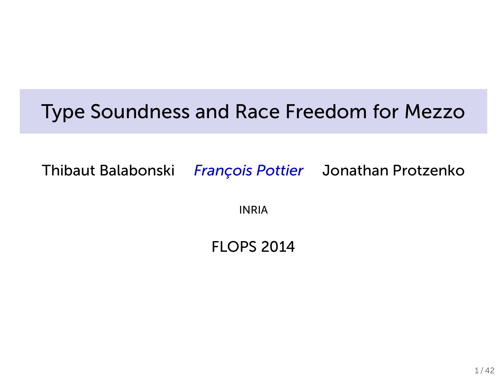## Type Soundness and Race Freedom for Mezzo

Thibaut Balabonski *François Pottier* Jonathan Protzenko

INRIA

#### FLOPS 2014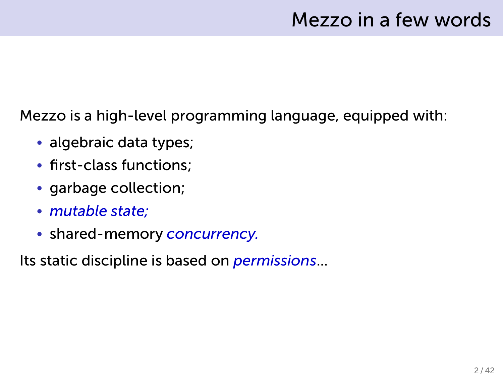Mezzo is a high-level programming language, equipped with:

- algebraic data types;
- first-class functions;
- garbage collection;
- *mutable state;*
- shared-memory *concurrency.*

Its static discipline is based on *permissions*...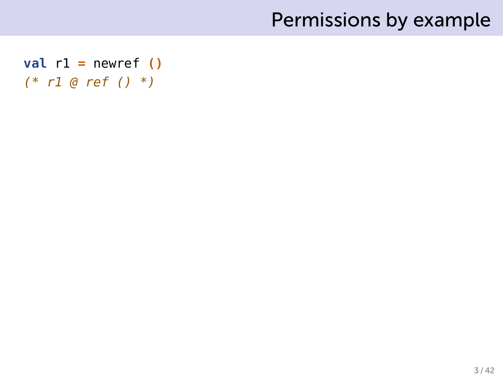```
val r1 = newref ()
(* r1 @ ref () *)
```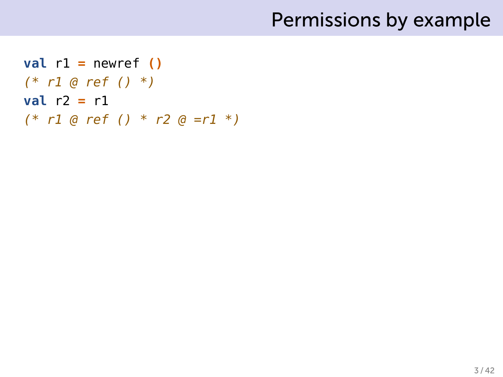```
val r1 = newref ()(* r1 @ ref () *)
val r2 = r1
(* r1 @ ref () * r2 @ =r1 *)
```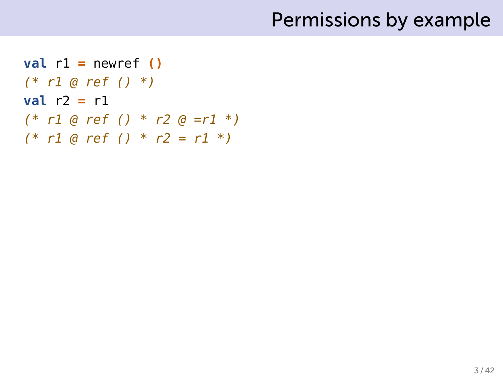```
val r1 = newref ()(* r1 @ ref () *)
val r2 = r1
(* r1 @ ref () * r2 @ =r1 *)
(* r1 @ ref () * r2 = r1 *)
```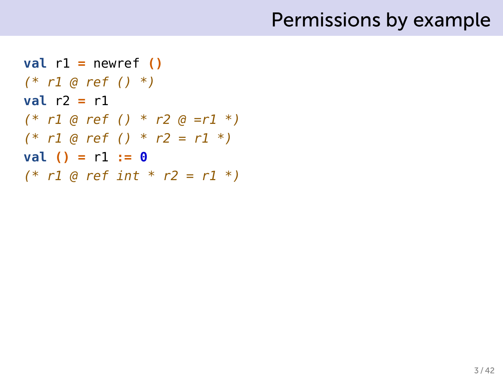```
val r1 = newref ()
(* r1 @ ref () *)
val r2 = r1
(* r1 @ ref () * r2 @ =r1 *)
(* r1 @ ref () * r2 = r1 *)
val () = r1 := 0
(* r1 @ ref int * r2 = r1 *)
```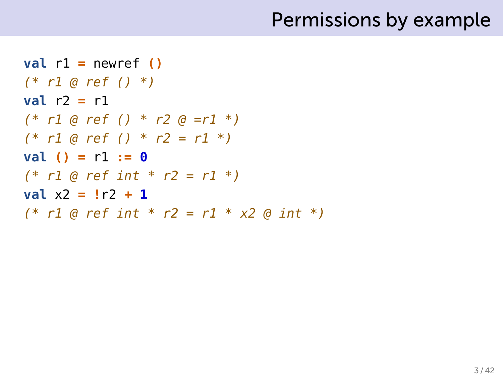```
val r1 = newref ()
(* r1 @ ref () *)
val r2 = r1
(* r1 @ ref () * r2 @ =r1 *)
(* r1 @ ref () * r2 = r1 *)
val () = r1 := 0
(* r1 @ ref int * r2 = r1 *)
val x2 = !r2 + 1
(* r1 @ ref int * r2 = r1 * x2 @ int *)
```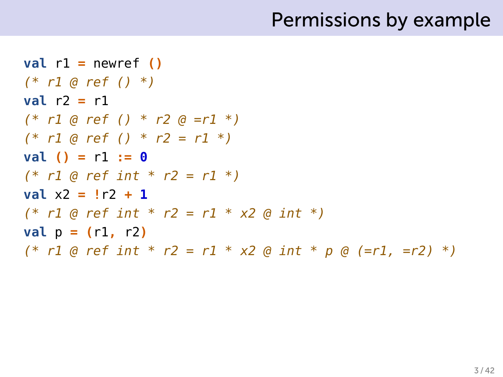```
val r1 = newref ()
(* r1 @ ref () *)
val r2 = r1
(* r1 @ ref () * r2 @ =r1 *)
(* r1 @ ref () * r2 = r1 *)
val () = r1 := 0
(* r1 @ ref int * r2 = r1 *)
val x2 = !r2 + 1
(* r1 @ ref int * r2 = r1 * x2 @ int *)
val p = (r1, r2)(* r1 @ ref int * r2 = r1 * x2 @ int * p @ (=r1, =r2) *)
```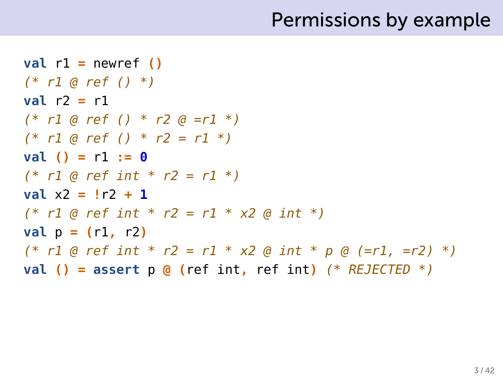```
val r1 = newref ()
(* r1 @ ref () *)
val r2 = r1
(* r1 @ ref () * r2 @ =r1 *)
(* r1 @ ref () * r2 = r1 *)
val () = r1 := 0
(* r1 @ ref int * r2 = r1 *)
val x2 = !r2 + 1
(* r1 @ ref int * r2 = r1 * x2 @ int *)
val p = (r1, r2)(* r1 @ ref int * r2 = r1 * x2 @ int * p @ (=r1, =r2) *)
val () = assert p @ (ref int, ref int) (* REJECTED *)
```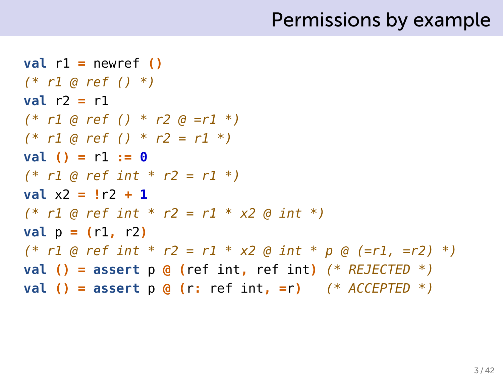```
val r1 = newref ()
(* r1 @ ref () *)
val r2 = r1
(* r1 @ ref () * r2 @ =r1 *)
(* r1 @ ref () * r2 = r1 *)
val () = r1 := 0
(* r1 @ ref int * r2 = r1 *)
val x2 = !r2 + 1
(* r1 @ ref int * r2 = r1 * x2 @ int *)
val p = (r1, r2)(* r1 @ ref int * r2 = r1 * x2 @ int * p @ (=r1, =r2) *)
val () = assert p @ (ref int, ref int) (* REJECTED *)
val () = assert p @ (r: ref int, =r) (* ACCEPTED *)
```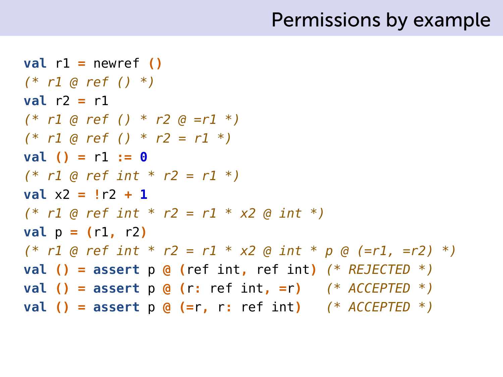```
val r1 = newref ()
(* r1 @ ref () *)
val r2 = r1
(* r1 @ ref () * r2 @ =r1 *)
(* r1 @ ref () * r2 = r1 *)
val () = r1 := 0
(* r1 @ ref int * r2 = r1 *)
val x2 = !r2 + 1
(* r1 @ ref int * r2 = r1 * x2 @ int *)
val p = (r1, r2)(* r1 @ ref int * r2 = r1 * x2 @ int * p @ (=r1, =r2) *)
val () = assert p @ (ref int, ref int) (* REJECTED *)
val () = assert p @ (r: ref int, =r) (* ACCEPTED *)
val () = assert p @ (=r, r: ref int) (* ACCEPTED *)
```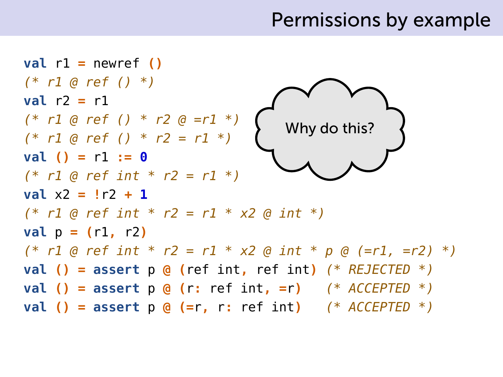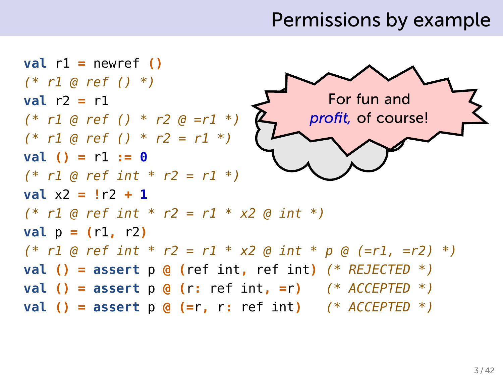$val$   $r1 = newref$  () *(\* r1 @ ref () \*)* **val** r2 **=** r1 *(\* r1 @ ref () \* r2 @ =r1 \*) (\* r1 @ ref () \* r2 = r1 \*)* **val () =** r1 **:= 0** *(\* r1 @ ref int \* r2 = r1 \*)* **val** x2 **= !**r2 **+ 1** *(\* r1 @ ref int \* r2 = r1 \* x2 @ int \*)*  $val p = (r1, r2)$ *(\* r1 @ ref int \* r2 = r1 \* x2 @ int \* p @ (=r1, =r2) \*)* **val () = assert** p **@ (**ref int**,** ref int**)** *(\* REJECTED \*)* **val () = assert** p **@ (**r**:** ref int**, =**r**)** *(\* ACCEPTED \*)* **val () = assert** p **@ (=**r**,** r**:** ref int**)** *(\* ACCEPTED \*)*  $\blacktriangle$  do the this do the this do the this do the this do the this do the this do the this do the this do the this do the this do the this do the this do the this do the this do the this do the this do the this do the this For fun and *profit,* of course!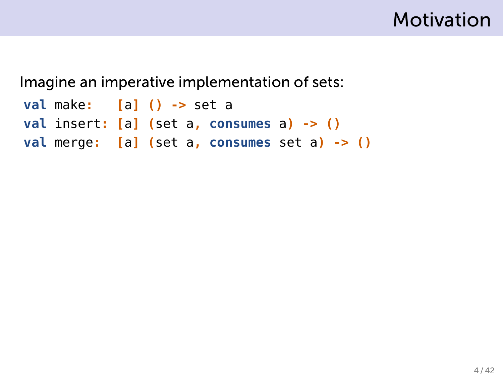

```
val make: [a] () -> set a
val insert: [a] (set a, consumes a) -> ()
val merge: [a] (set a, consumes set a) -> ()
```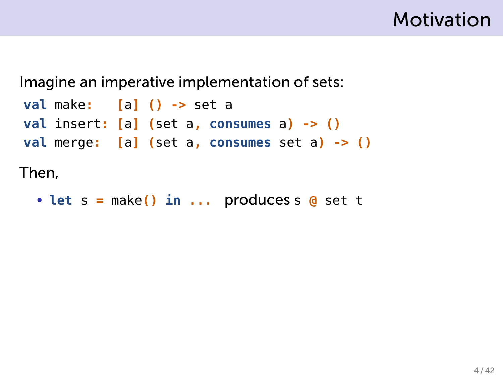

```
val make: [a] () -> set a
val insert: [a] (set a, consumes a) -> ()
val merge: [a] (set a, consumes set a) -> ()
```
Then,

• **let** s **=** make**() in ...** produces s **@** set t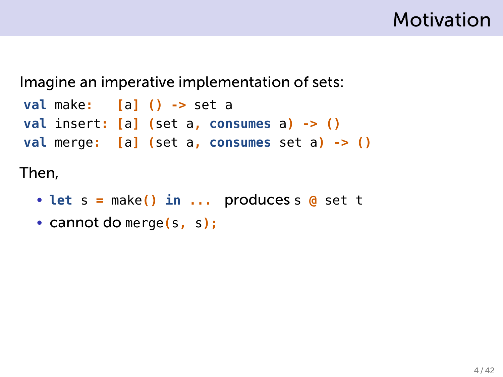

```
val make: [a] () -> set a
val insert: [a] (set a, consumes a) -> ()
val merge: [a] (set a, consumes set a) -> ()
```
- **let** s **=** make**() in ...** produces s **@** set t
- cannot do merge**(**s**,** s**);**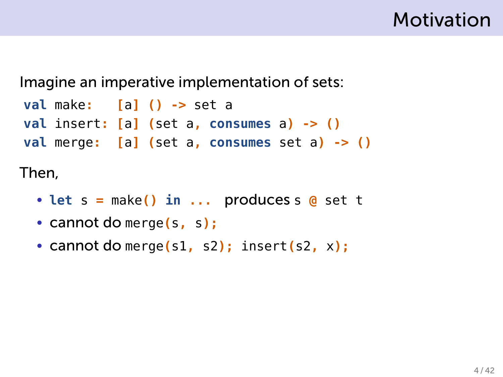

```
val make: [a] () -> set a
val insert: [a] (set a, consumes a) -> ()
val merge: [a] (set a, consumes set a) -> ()
```
- **let** s **=** make**() in ...** produces s **@** set t
- cannot do merge**(**s**,** s**);**
- cannot do merge**(**s1**,** s2**);** insert**(**s2**,** x**);**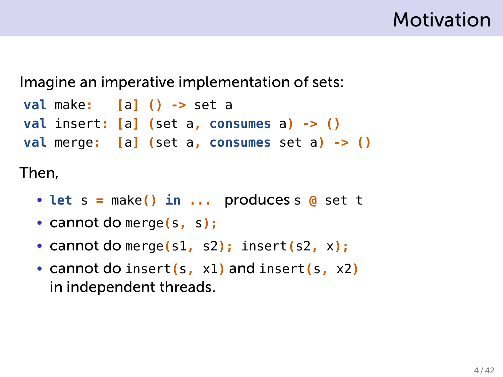

```
val make: [a] () -> set a
val insert: [a] (set a, consumes a) -> ()
val merge: [a] (set a, consumes set a) -> ()
```
- **let** s **=** make**() in ...** produces s **@** set t
- cannot do merge**(**s**,** s**);**
- cannot do merge**(**s1**,** s2**);** insert**(**s2**,** <sup>x</sup>**);** .
- cannot do insert**(**s**,** x1**)** and insert**(**s**,** x2**)** in independent threads. .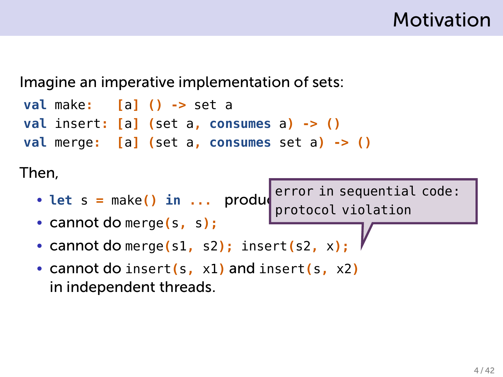

```
val make: [a] () -> set a
val insert: [a] (set a, consumes a) -> ()
val merge: [a] (set a, consumes set a) -> ()
```
- $\cdot$  **let** s = make() in  $\ldots$  product error in sequential code: protocol violation
- cannot do merge**(**s**,** s**);**
- cannot do merge**(**s1**,** s2**);** insert**(**s2**,** <sup>x</sup>**);** .
- cannot do insert**(**s**,** x1**)** and insert**(**s**,** x2**)** in independent threads. .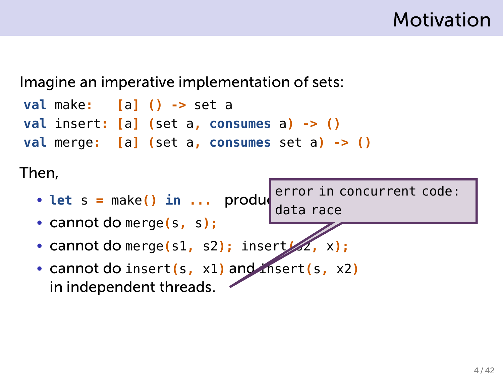

```
val make: [a] () -> set a
val insert: [a] (set a, consumes a) -> ()
val merge: [a] (set a, consumes set a) -> ()
```
- $\cdot$  **let** s = make() in  $\ldots$  produ error in concurrent code: data race
- cannot do merge**(**s**,** s**);**
- **cannot do merge(s1, s2); insert**
- cannot do insert**(**s**,** x1**)** and insert**(**s**,** x2**)** in independent threads.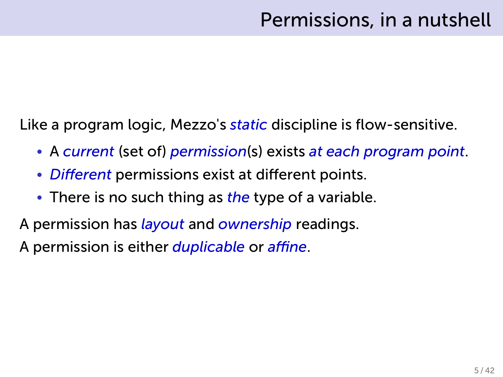Like a program logic, Mezzo's *static* discipline is flow-sensitive.

- A *current* (set of) *permission*(s) exists *at each program point*.
- *Different* permissions exist at different points.
- There is no such thing as *the* type of a variable.
- A permission has *layout* and *ownership* readings.

A permission is either *duplicable* or *affine*.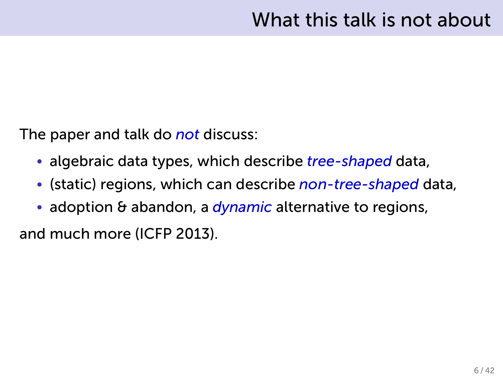The paper and talk do *not* discuss:

- algebraic data types, which describe *tree-shaped* data,
- (static) regions, which can describe *non-tree-shaped* data,
- adoption & abandon, a *dynamic* alternative to regions,

and much more (ICFP 2013).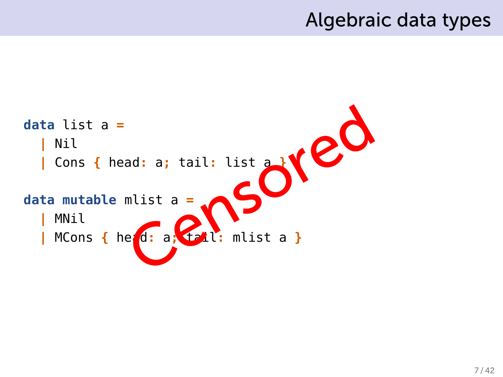#### Algebraic data types

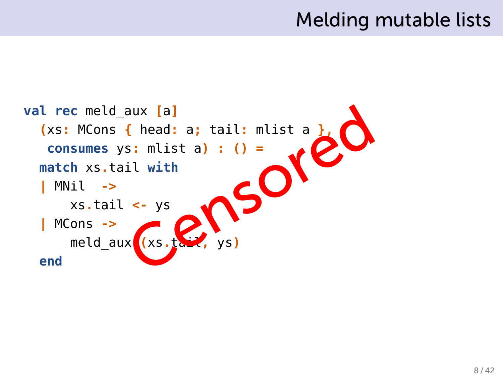#### Melding mutable lists

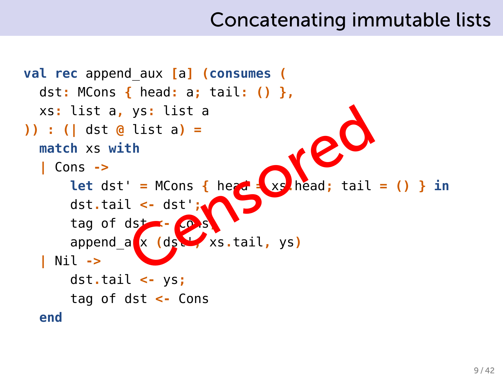#### Concatenating immutable lists

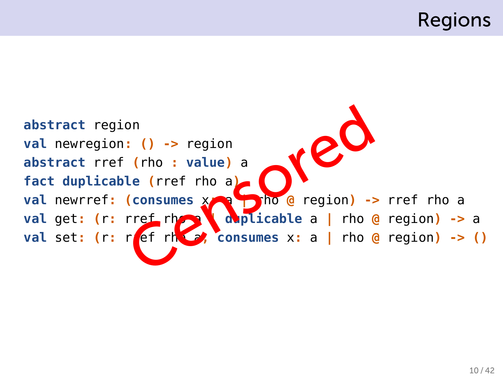### Regions

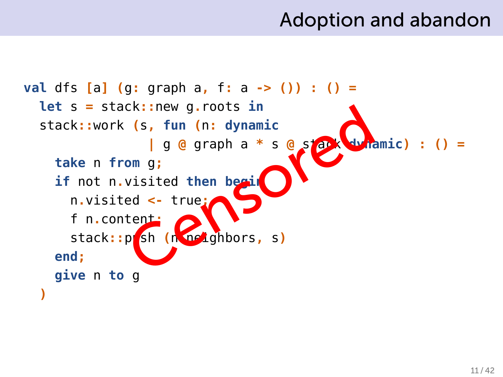#### Adoption and abandon

```
val dfs [a] (g: graph a, f: a -> ()) : () =
  let s = stack::new g.roots in
  stack::work (s, fun (n: dynamic
                    | g @ graph a * s @ stack dynamic) : () =
     take n from g;
     if not n.visited then begin
       n.visited <- true;
       f n.content;
       stack::push (n.neighbors, s)
     end;
     give n to g
  )
                 CK:: new g.roots in<br>
(s, fun (n: dynamic<br>
| g @ graph a * s @ s<br>
om g;<br>
visited then begain
```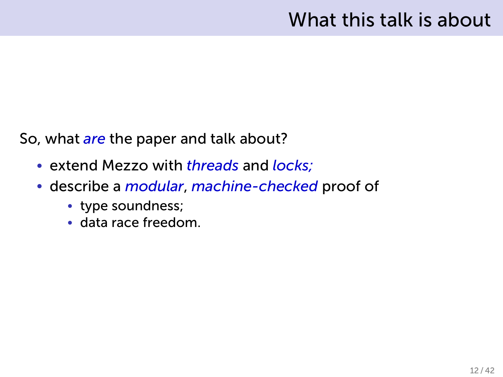#### What this talk is about

So, what *are* the paper and talk about?

- extend Mezzo with *threads* and *locks;*
- describe a *modular*, *machine-checked* proof of
	- type soundness;
	- data race freedom.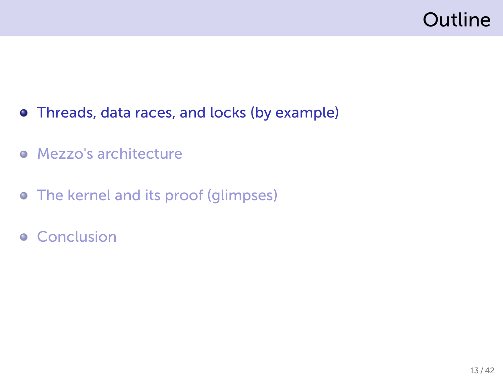# Outline

- Threads, data races, and locks (by example)
- **•** Mezzo's architecture
- The kernel and its proof (glimpses)
- **•** Conclusion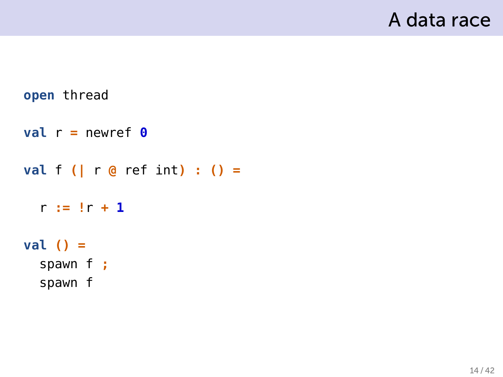```
open thread
val r = newref \thetaval f (| r @ ref int .) : () =
  r := !r + 1
val () =
  spawn f
.;
  spawn f
```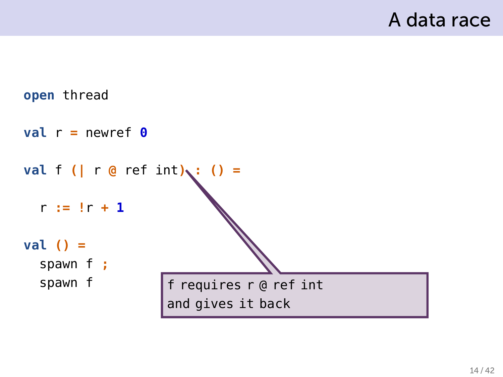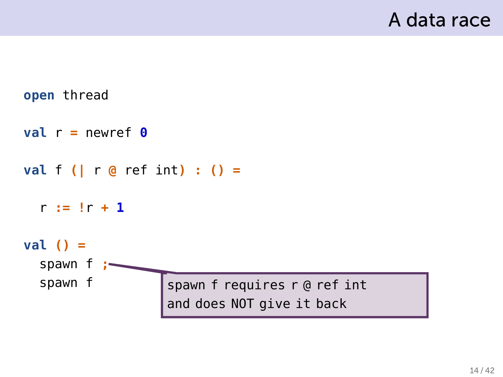```
open thread
val r = newref \thetaval f (| r @ ref int .) : () =
  r := !r + 1
val () =
  spawn f
.;
  spawn f
                    spawn f requires r @ ref int
                    and does NOT give it back
```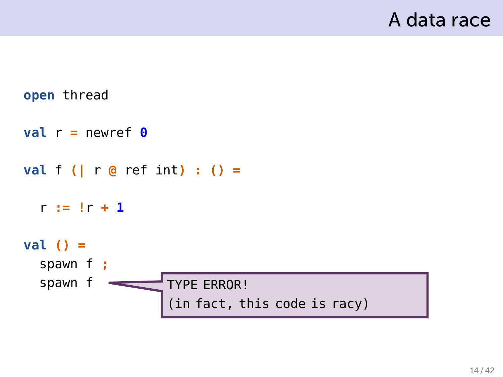```
open thread
val r = newref \thetaval f (| r @ ref int .) : () =
  r := !r + 1
val () =
  spawn f
.;
  spawn f
                    TYPE ERROR!
                     (in fact, this code is racy)
```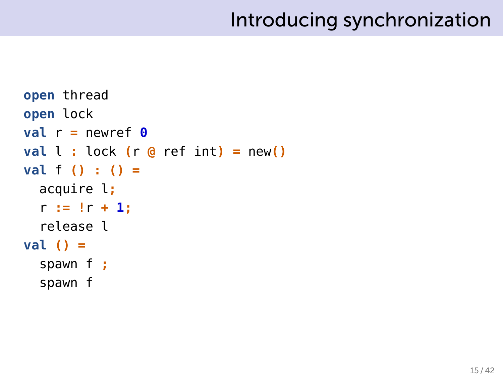# Introducing synchronization

```
open thread
open lock
val r = newref \thetaval l : \text{lock} (r \geq r ref int) = new()
val f (
.) : () =
  acquire l;
  r := !r + 1;
  release l
val () =
  spawn f ;
  spawn f
```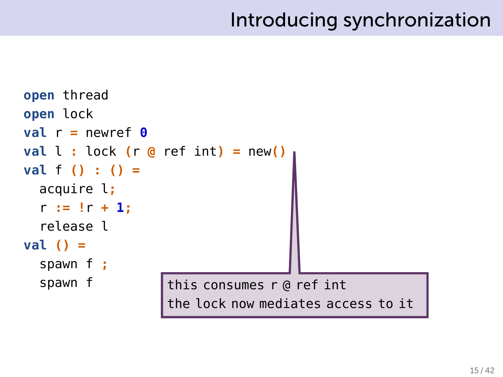# Introducing synchronization

```
open thread
open lock
val r = newref \thetaval l : \text{lock} (r \phi ref \text{int}) = new()
val f (
.) : () =
  acquire l;
  r := !r + 1;
  release l
val () =
  spawn f ;
  spawn f
                     this consumes r @ ref int
                     the lock now mediates access to it
```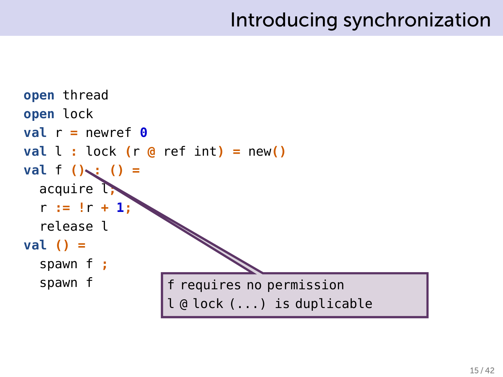# Introducing synchronization

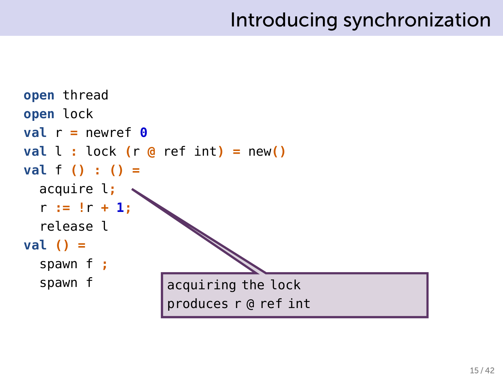```
open thread
open lock
val r = newref \thetaval l : \text{lock} (r \phi ref \text{int}) = new()
val f (
.) : () =
  acquire l;
  r := !r + 1;
                  .
  release l
val () =
  spawn f ;
  spawn f
                      acquiring the lock
                      produces r @ ref int
```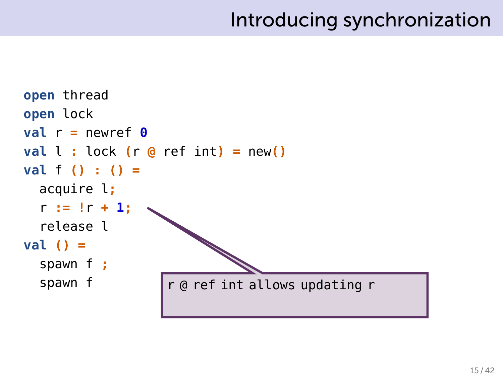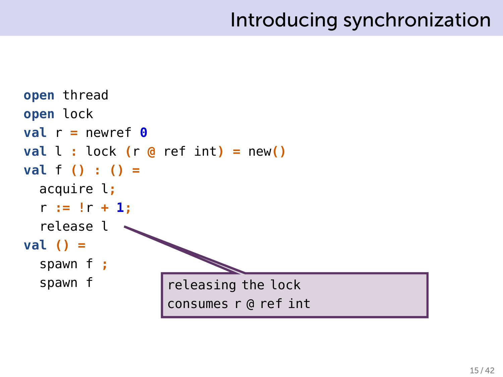```
open thread
open lock
val r = newref \thetaval l : \text{lock} (r \phi ref \text{int}) = new()
val f (
.) : () =
  acquire l;
  r := !r + 1;
  release l
val () =
  spawn f ;
  spawn f
                     releasing the lock
                      consumes r @ ref int
```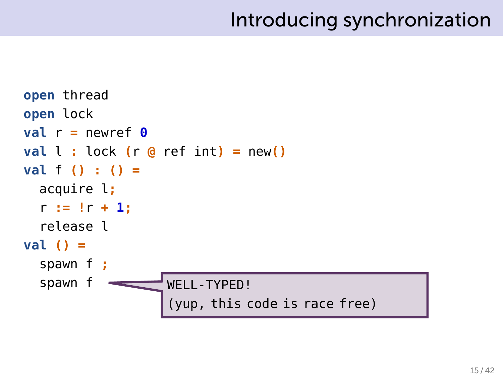```
open thread
open lock
val r = newref \thetaval l : \text{lock} (r \phi ref \text{int}) = new()
val f (
.) : () =
  acquire l;
  r := !r + 1;
  release l
val () =
  spawn f ;
  spawn f
                      WFII-TYPFD!
                      (yup, this code is race free)
```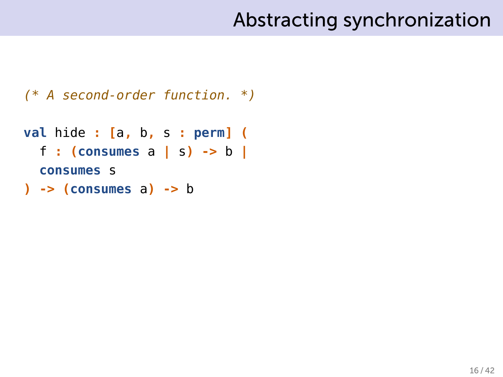*(\* A second-order function. \*)*

```
val hide : [a, b, s : perm .] (
  f : (consumes a | s) -> b
.|
  consumes s
) -> (consumes a) -> b
```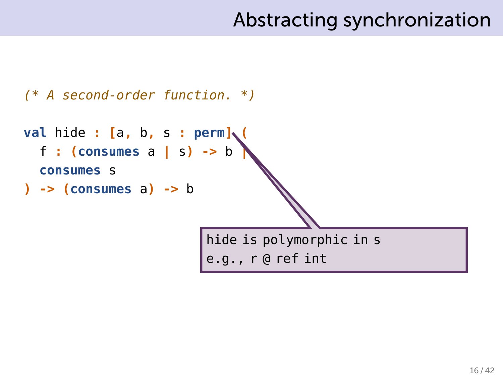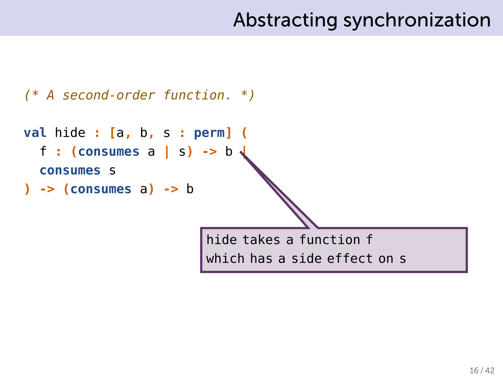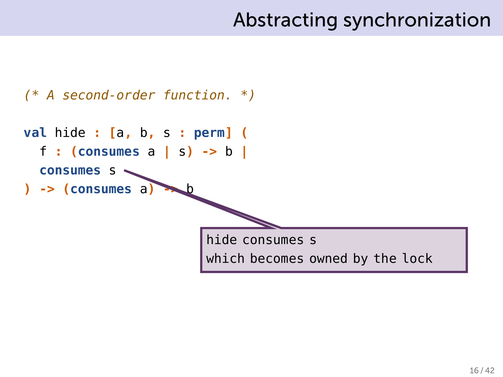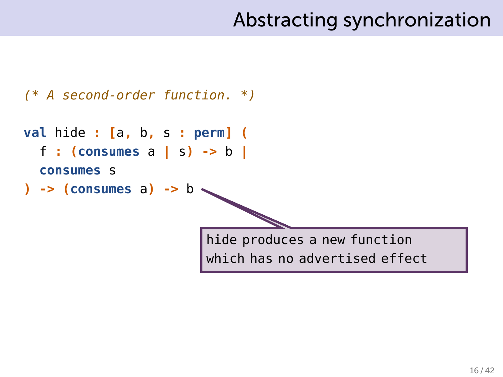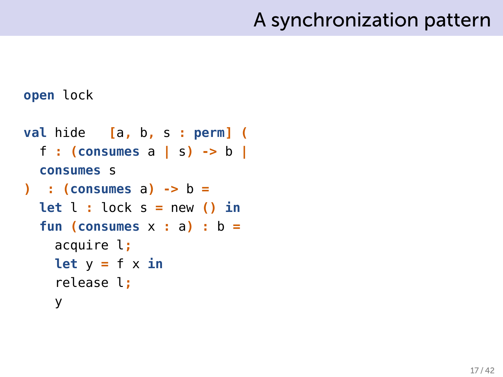### A synchronization pattern

#### **open** lock

```
val hide [a, b, s : perm] (
  f : (consumes a | s) -> b |
  consumes s
) : (consumes a) -> b =
  let l : \text{lock } s = \text{new} () in
  fun (consumes x : a) : b =
    acquire l;
    let y = f \times \mathbf{in}release l;
    y
```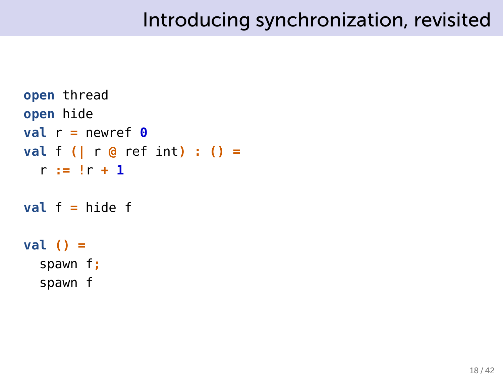```
open thread
open hide
val r = newref \thetaval f (| r @ ref int) : () =
  r := !r + 1
val f = hide f
val () =
  spawn f;
  spawn f
```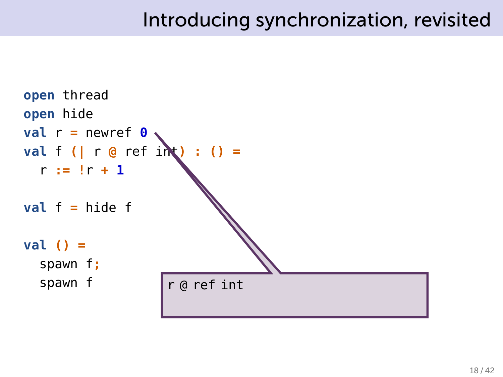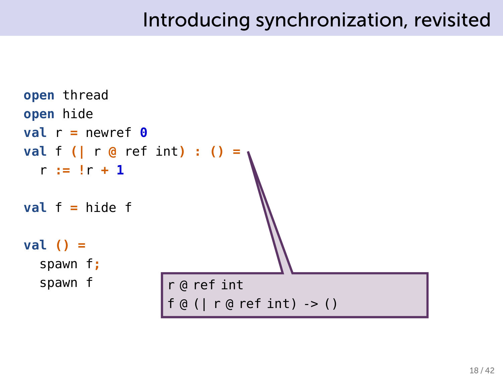```
open thread
open hide
val r = newref \thetaval f (| r @ ref int) : () =
                               .
  r := !r + 1
val f = hide f
val () =
  spawn f;
  spawn f
                    r @ ref int
                    f @ (| r @ ref int) -> ()
```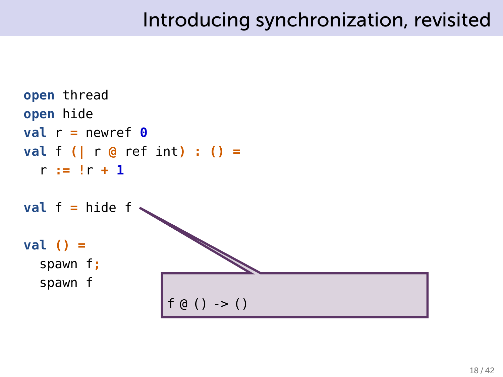```
open thread
open hide
\mathbf{val} \mathbf{r} = newref \mathbf{0}val f (| r @ ref int) : () =
  r := !r + 1
val f = hide f
val () =
  spawn f;
  spawn f
                        f (0() \rightarrow ()
```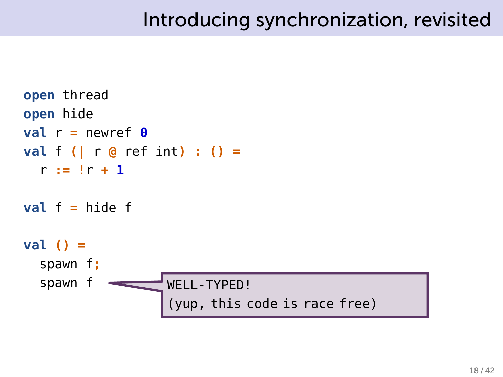```
open thread
open hide
val r = newref \thetaval f (| r @ ref int) : () =
  r := !r + 1
val f = hide f
val () =
  spawn f;
  spawn f
                    WFII-TYPFD!
                    (yup, this code is race free)
```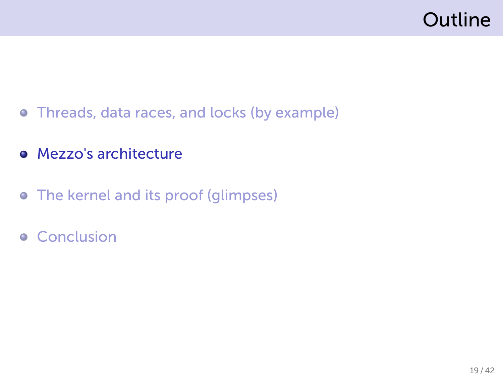## Outline

- Threads, data races, and locks (by example)
- Mezzo's architecture
- The kernel and its proof (glimpses)
- **•** Conclusion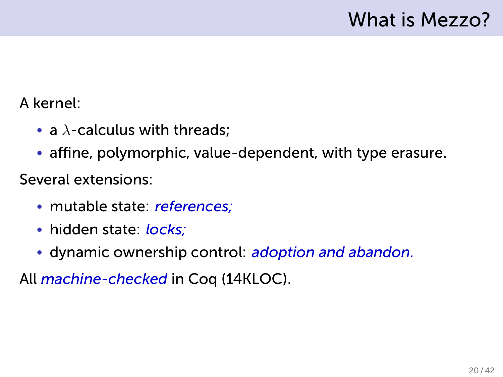### What is Mezzo?

#### A kernel:

- a *λ*-calculus with threads;
- affine, polymorphic, value-dependent, with type erasure.

Several extensions:

- mutable state: *references;*
- hidden state: *locks;*
- dynamic ownership control: *adoption and abandon.*

All *machine-checked* in Coq (14KLOC).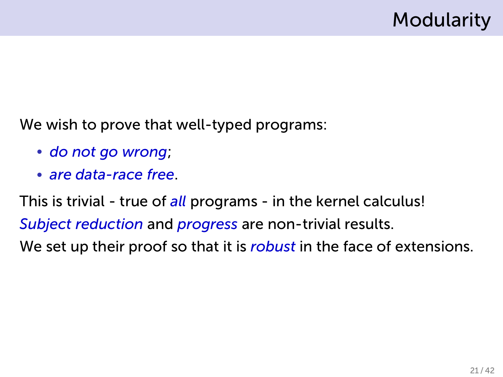We wish to prove that well-typed programs:

- *do not go wrong*;
- *are data-race free*.

This is trivial - true of *all* programs - in the kernel calculus! *Subject reduction* and *progress* are non-trivial results. We set up their proof so that it is *robust* in the face of extensions.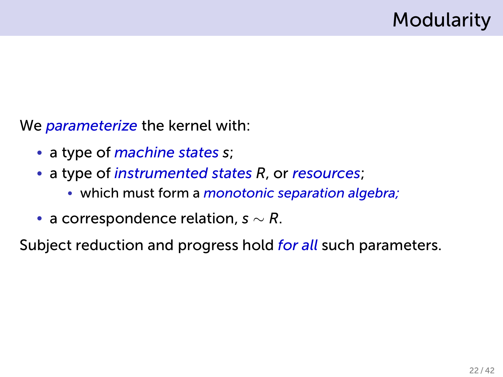We *parameterize* the kernel with:

- a type of *machine states s*;
- a type of *instrumented states R*, or *resources*;
	- which must form a *monotonic separation algebra;*
- a correspondence relation, *s ∼ R*.

Subject reduction and progress hold *for all* such parameters.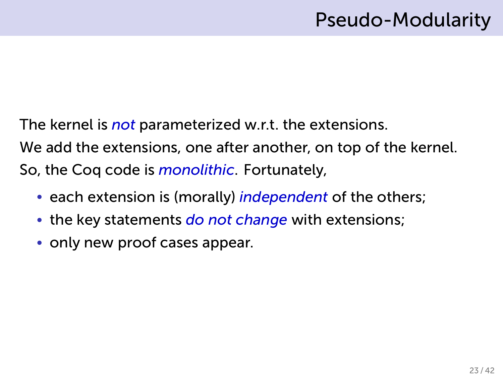The kernel is *not* parameterized w.r.t. the extensions. We add the extensions, one after another, on top of the kernel. So, the Coq code is *monolithic*. Fortunately,

- each extension is (morally) *independent* of the others;
- the key statements *do not change* with extensions;
- only new proof cases appear.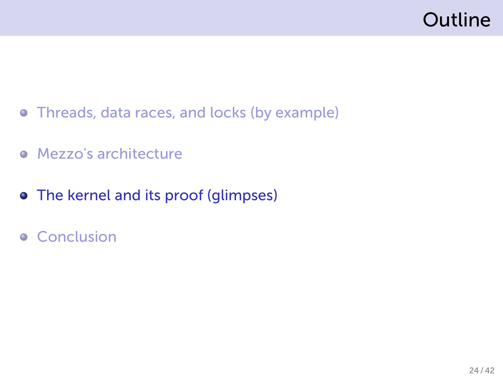# Outline

- Threads, data races, and locks (by example)
- **•** Mezzo's architecture
- The kernel and its proof (glimpses)
- **•** Conclusion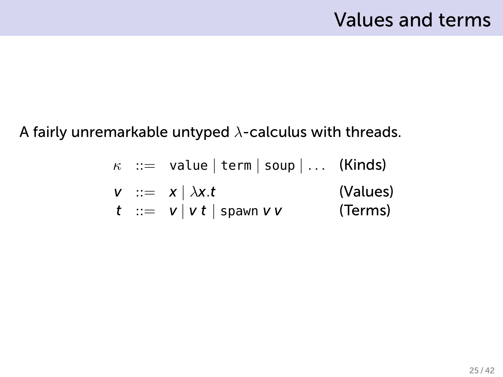#### A fairly unremarkable untyped *λ*-calculus with threads.

| $\kappa$ ::= value   term   soup   ... | (Kinds)  |
|----------------------------------------|----------|
| $\nu$ ::= $x   \lambda x.t$            | (Values) |
| $t$ ::= $v   vt  $ spam $v v$          | (Terms)  |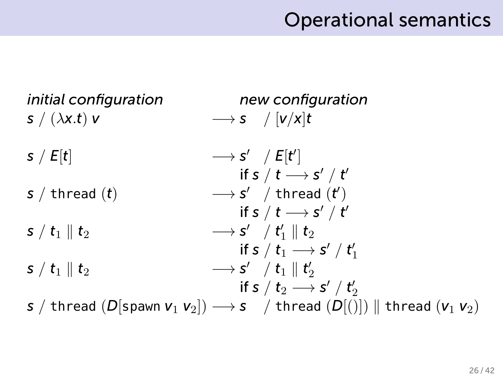### Operational semantics

| initial configuration<br>$s / (\lambda x.t) v$ | new configuration<br>$\longrightarrow$ s / $[v/x]$ t                                               |
|------------------------------------------------|----------------------------------------------------------------------------------------------------|
| s / E[t]                                       | $\longrightarrow$ s' / E[t']                                                                       |
| $s /$ thread $(t)$                             | if s / t $\longrightarrow$ s' / t'<br>$\longrightarrow$ s' / thread $(t')$                         |
|                                                | if s / t $\longrightarrow$ s' / t'                                                                 |
| $s / t_1 \parallel t_2$                        | $\longrightarrow$ s' / t' <sub>1</sub>    t <sub>2</sub><br>if s / $t_1 \longrightarrow s' / t'_1$ |
| $s / t_1 \parallel t_2$                        | $\longrightarrow$ s' / t <sub>1</sub>    t' <sub>2</sub>                                           |
|                                                | if s / $t_2 \rightarrow s'$ / $t'_2$                                                               |
|                                                | s / thread (D[spawn $v_1$ $v_2$ ]) $\longrightarrow$ s / thread (D[()])    thread ( $v_1$ $v_2$ )  |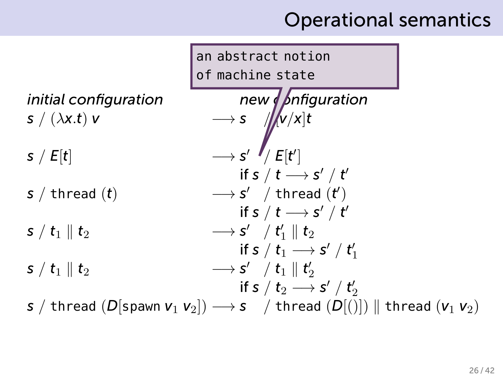### Operational semantics

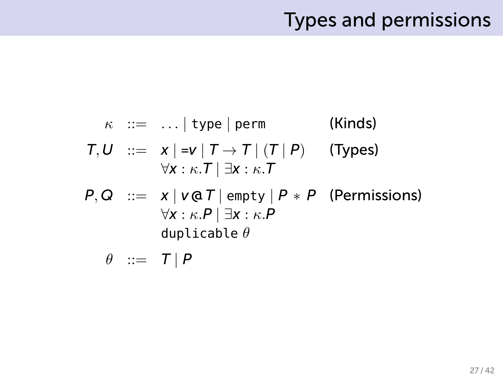### Types and permissions

$$
\kappa ::= ... | \text{ type} | \text{ perm} \qquad \text{(Kinds)}
$$
\n
$$
T, U ::= x | = v | T \rightarrow T | (T | P) \qquad \text{(Types)}
$$
\n
$$
\forall x : \kappa. T | \exists x : \kappa. T
$$
\n
$$
P, Q ::= x | v @ T | empty | P * P \qquad \text{(Permissions)}
$$
\n
$$
\forall x : \kappa. P | \exists x : \kappa. P
$$
\n
$$
\text{duplicable } \theta
$$

 $\theta$  ::=  $T | P$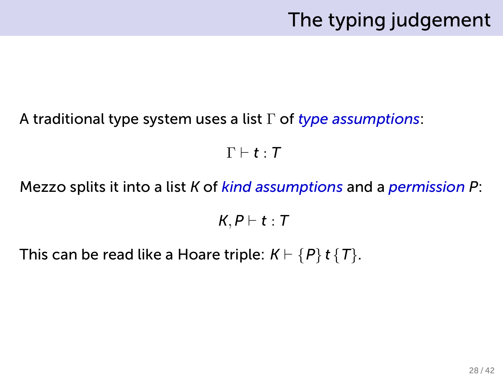### The typing judgement

#### A traditional type system uses a list Γ of *type assumptions*:

 $\Gamma \vdash t : T$ 

Mezzo splits it into a list *K* of *kind assumptions* and a *permission P*:

*K, P ⊢ t* : *T*

This can be read like a Hoare triple:  $K \vdash \{P\}$  *t*  $\{T\}$ .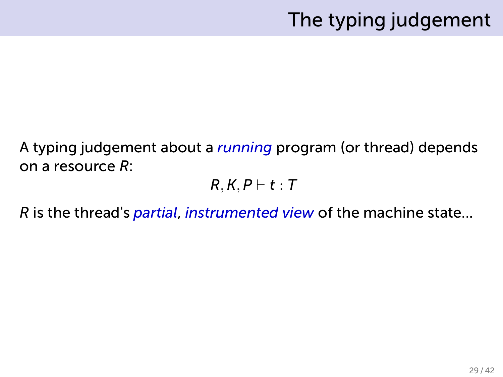### The typing judgement

A typing judgement about a *running* program (or thread) depends on a resource *R*:

*R, K, P ⊢ t* : *T*

*R* is the thread's *partial*, *instrumented view* of the machine state...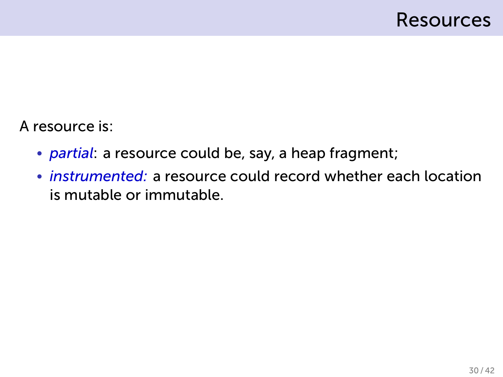A resource is:

- *partial*: a resource could be, say, a heap fragment;
- *instrumented:* a resource could record whether each location is mutable or immutable.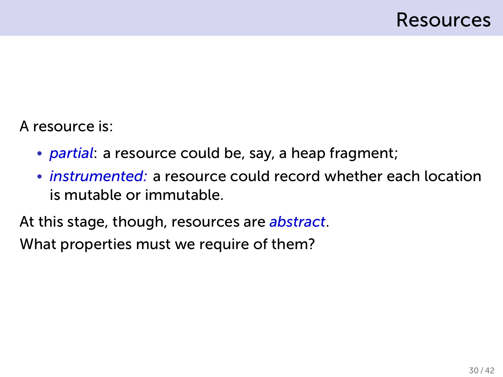A resource is:

- *partial*: a resource could be, say, a heap fragment;
- *instrumented:* a resource could record whether each location is mutable or immutable.

At this stage, though, resources are *abstract*.

What properties must we require of them?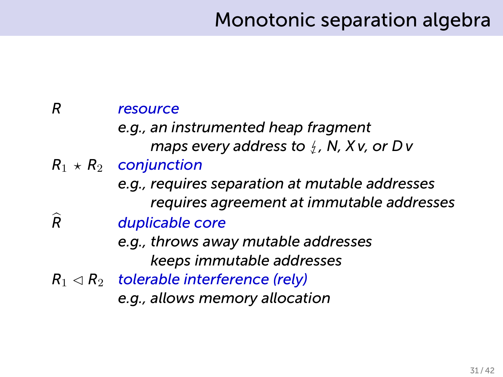### Monotonic separation algebra

#### *R resource e.g., an instrumented heap fragment maps every address to*  $\frac{1}{2}$ *, N, X v, or D v*  $R_1 \star R_2$  *conjunction e.g., requires separation at mutable addresses requires agreement at immutable addresses R*b *duplicable core e.g., throws away mutable addresses keeps immutable addresses*  $R_1 \triangleleft R_2$  *tolerable interference (rely) e.g., allows memory allocation*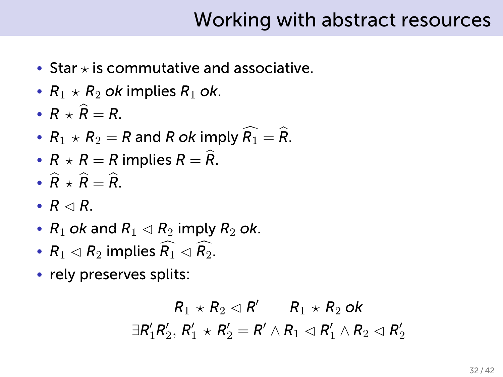### Working with abstract resources

- Star *⋆* is commutative and associative.
- $R_1 \star R_2$  *ok* implies  $R_1$  *ok*.
- $R + \widehat{R} = R$ .
- $R_1 \times R_2 = R$  and R ok imply  $\widehat{R_1} = \widehat{R_2}$ .
- $R \times R = R$  implies  $R = \widehat{R}$ .
- $\hat{R} + \hat{R} = \hat{R}$
- $R \triangleleft R$ .
- $R_1$  *ok* and  $R_1 \triangleleft R_2$  imply  $R_2$  *ok*.
- $R_1 \triangleleft R_2$  implies  $\widehat{R_1} \triangleleft \widehat{R_2}$ .
- rely preserves splits:

$$
\frac{R_1 \times R_2 \triangleleft R'}{\exists R'_1 R'_2, R'_1 \times R'_2 = R' \land R_1 \triangleleft R'_1 \land R_2 \triangleleft R'_2}
$$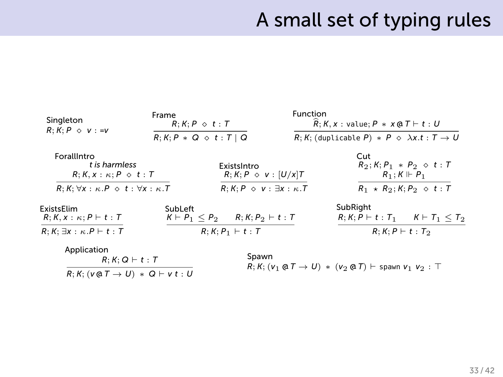### A small set of typing rules

| Singleton<br>$R: K: P \diamond v := v$                                                         | Frame<br>$R: K: P \diamond t: T$        |                                                  | Function | $\widehat{R}$ ; K, x : value; P * x @ T $\vdash t : U$                                    |                                           |  |
|------------------------------------------------------------------------------------------------|-----------------------------------------|--------------------------------------------------|----------|-------------------------------------------------------------------------------------------|-------------------------------------------|--|
|                                                                                                | $R: K: P \times Q \diamond t: T \mid Q$ |                                                  |          | $R; K;$ (duplicable P) $*$ P $\Diamond$ $\lambda x.t : T \rightarrow U$                   |                                           |  |
| ForallIntro<br>t is harmless<br>$R: K, x: \kappa: P \diamond t: T$                             |                                         | ExistsIntro<br>$R; K; P \diamond v : [U/x]T$     |          | Cut<br>$R_2$ ; K; P <sub>1</sub> * P <sub>2</sub> $\Diamond$ t : T<br>$R_1: K \Vdash P_1$ |                                           |  |
| $R: K: \forall x: \kappa.P \diamond t: \forall x: \kappa.T$                                    |                                         | $R; K; P \diamond v: \exists x: \kappa. T$       |          |                                                                                           | $R_1 \star R_2$ ; $K; P_2 \diamond t$ : T |  |
| ExistsElim<br>$R; K, x: \kappa; P \vdash t: T$                                                 | SubLeft                                 | $K \vdash P_1 \leq P_2$ $R; K; P_2 \vdash t : T$ |          | SubRight<br>$R: K: P \vdash t: T_1 \quad K \vdash T_1 \leq T_2$                           |                                           |  |
| $R; K; \exists x : \kappa.P \vdash t : T$                                                      |                                         | $R: K: P_1 \vdash t: T$                          |          | $R; K; P \vdash t : T_2$                                                                  |                                           |  |
| Application<br>$R; K; Q \vdash t : T$<br>$R; K; (v \oplus T \rightarrow U) * Q \vdash v t : U$ |                                         | Spawn                                            |          | $R: K: (v_1 \oplus T \rightarrow U) * (v_2 \oplus T) \vdash$ spawn $v_1$ $v_2 : T$        |                                           |  |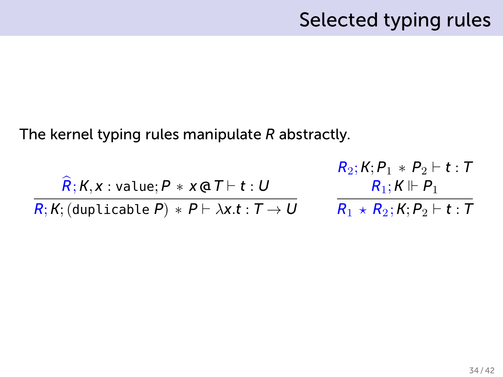The kernel typing rules manipulate *R* abstractly.

$$
\frac{\widehat{R}_{2}; K, P_{1} * P_{2} \vdash t : T}{R; K; (duplicable P) * P \vdash \lambda x.t : T \rightarrow U} \qquad \begin{array}{c} R_{2}; K, P_{1} * P_{2} \vdash t : T \\ R_{1}; K \Vdash P_{1} \\ \hline R_{1} \star R_{2}; K, P_{2} \vdash t : T \end{array}
$$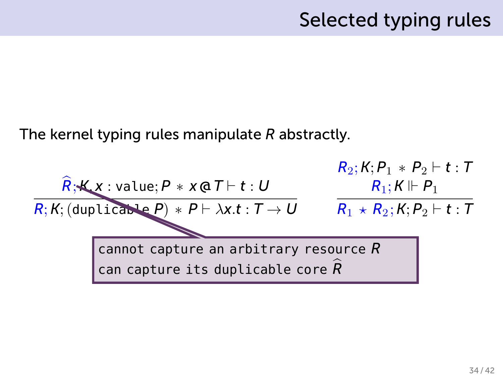The kernel typing rules manipulate *R* abstractly.

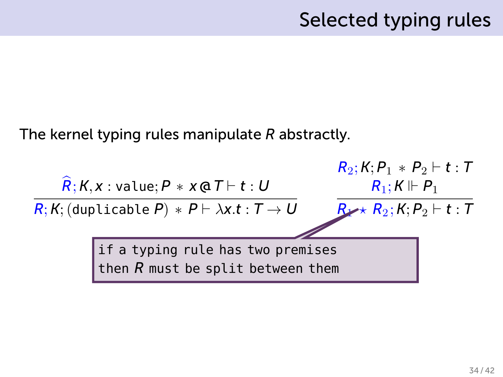The kernel typing rules manipulate *R* abstractly.

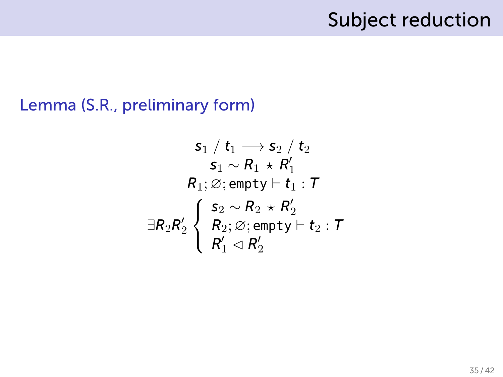### Subject reduction

#### Lemma (S.R., preliminary form)

$$
\begin{matrix} \mathsf{s}_1 \ / \ \mathsf{t}_1 \longrightarrow \mathsf{s}_2 \ / \ \mathsf{t}_2 \\ \mathsf{s}_1 \sim \mathsf{R}_1 \ \star \ \mathsf{R}_1' \\ \mathsf{R}_1 ; \varnothing ; \mathsf{empty} \vdash \mathsf{t}_1 : \mathcal{T} \\ \hline \exists \mathsf{R}_2 \mathsf{R}_2' \left\{ \begin{array}{l} \mathsf{s}_2 \sim \mathsf{R}_2 \ \star \ \mathsf{R}_2' \\ \mathsf{R}_2 ; \varnothing ; \mathsf{empty} \vdash \mathsf{t}_2 : \mathcal{T} \\ \mathsf{R}_1' \vartriangleleft \mathsf{R}_2' \end{array} \right. \end{matrix}
$$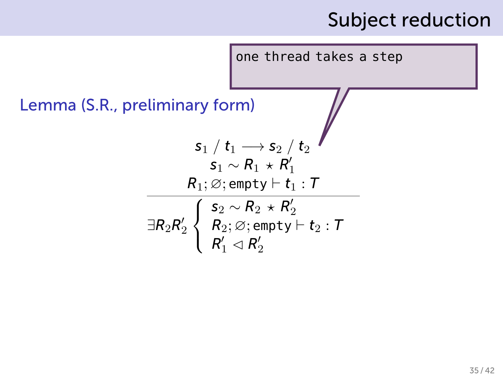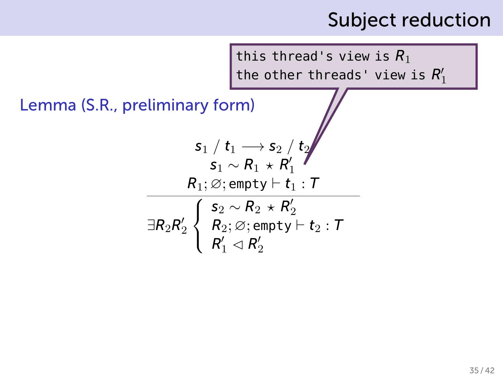this thread's view is *R*<sup>1</sup> the other threads' view is  $R'_1$ 

$$
\begin{matrix} \mathsf{s}_1 \ / \ t_1 \longrightarrow \mathsf{s}_2 \ / \ \mathsf{t}_2 \\ \mathsf{s}_1 \sim \mathsf{R}_1 \ \star \ \mathsf{R}_1' \\ \mathsf{R}_1 ; \varnothing ; \mathsf{empty} \vdash \mathsf{t}_1 : \mathsf{T} \\ \hline \exists \mathsf{R}_2 \mathsf{R}_2' \left\{ \begin{array}{l} \mathsf{s}_2 \sim \mathsf{R}_2 \ \star \ \mathsf{R}_2' \\ \mathsf{R}_2 ; \varnothing ; \mathsf{empty} \vdash \mathsf{t}_2 : \mathsf{T} \\ \mathsf{R}_1' \lhd \mathsf{R}_2' \end{array} \right. \end{matrix}
$$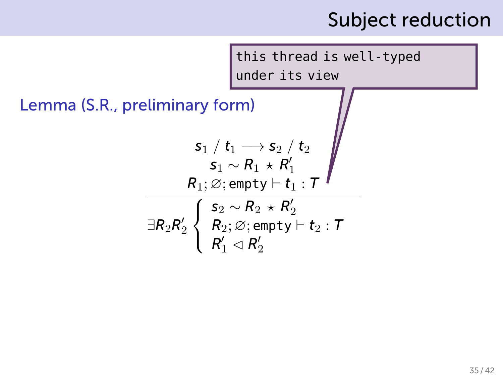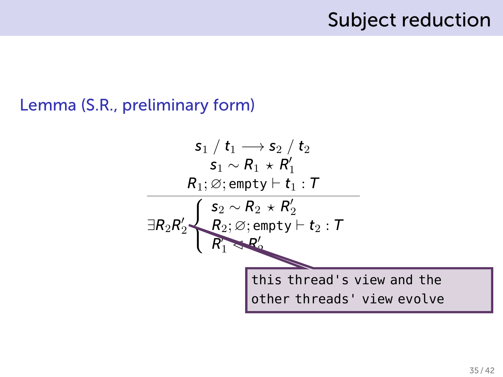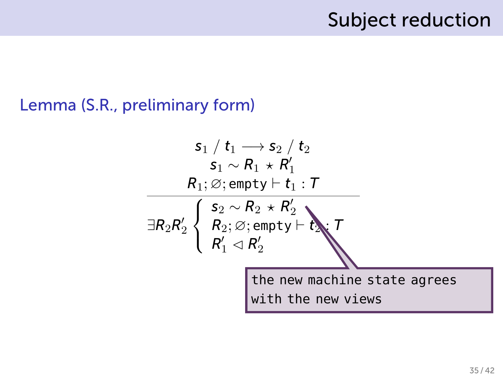$$
\begin{array}{c|l} s_1 \ / \ t_1 \longrightarrow s_2 \ / \ t_2 \\ \hline s_1 \sim R_1 \star R_1' \\ \hline R_1; \varnothing; \mathsf{empty} \vdash t_1 : \mathcal{T} \\ \hline \exists R_2 R_2' \left\{ \begin{array}{l} s_2 \sim R_2 \star R_2' \\ R_2; \varnothing; \mathsf{empty} \vdash t_2 \\ \hline R_1' \lhd R_2' \end{array} \right. \\ \hline \begin{array}{c} \hline \end{array} \end{array}
$$
the new machine state agrees with the new views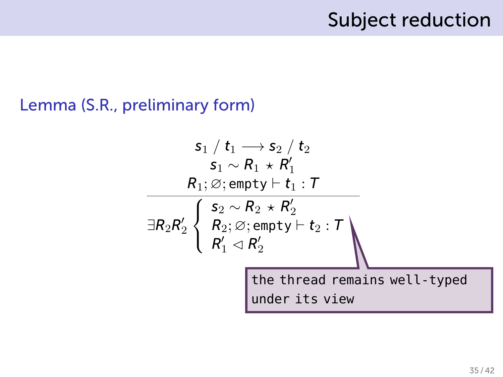$$
\begin{array}{c}\n s_1 \ / \ t_1 \longrightarrow s_2 \ / \ t_2 \\
 s_1 \sim R_1 \ \star \ R'_1 \\
 R_1; \varnothing; \mathsf{empty} \vdash t_1 : \mathcal{T} \\
 \hline\n \overline{\exists R_2 R'_2} \left\{ \begin{array}{l} s_2 \sim R_2 \ \star \ R'_2 \\ R_2; \varnothing; \mathsf{empty} \vdash t_2 : \mathcal{T} \\ R'_1 \lhd R'_2 \end{array} \right. \\
 \text{the thread remains well-typed under its view}\n\end{array}
$$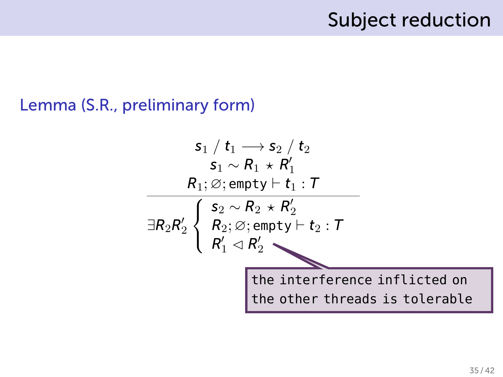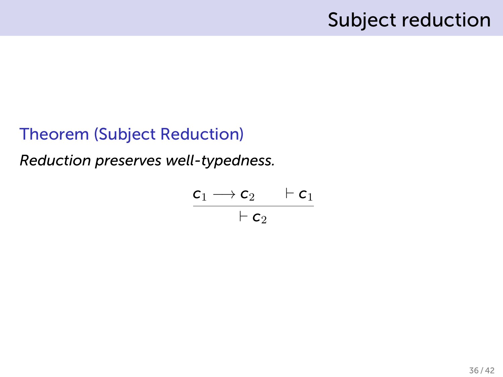#### Theorem (Subject Reduction)

*Reduction preserves well-typedness.*

$$
\frac{\mathsf{c}_1 \longrightarrow \mathsf{c}_2 \qquad \vdash \mathsf{c}_1}{\vdash \mathsf{c}_2}
$$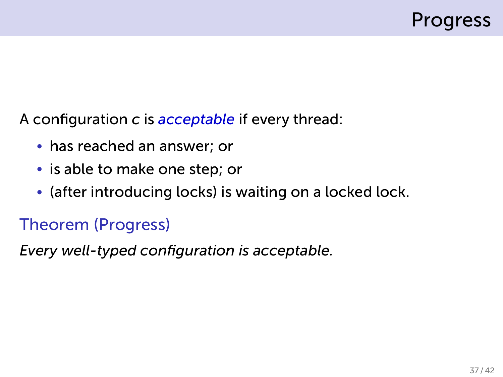A configuration *c* is *acceptable* if every thread:

- has reached an answer; or
- is able to make one step; or
- (after introducing locks) is waiting on a locked lock.

#### Theorem (Progress)

*Every well-typed configuration is acceptable.*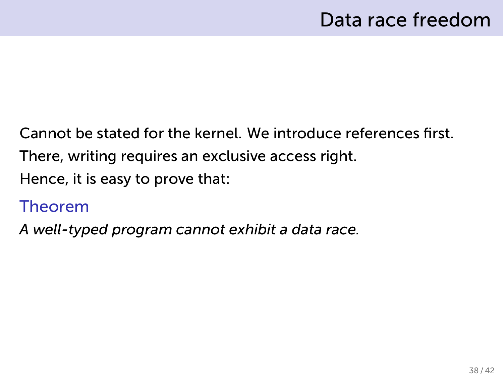Cannot be stated for the kernel. We introduce references first. There, writing requires an exclusive access right. Hence, it is easy to prove that:

#### Theorem

*A well-typed program cannot exhibit a data race.*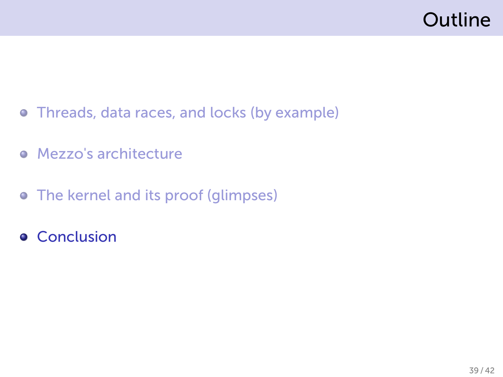# Outline

- Threads, data races, and locks (by example)
- **•** Mezzo's architecture
- The kernel and its proof (glimpses)
- **•** Conclusion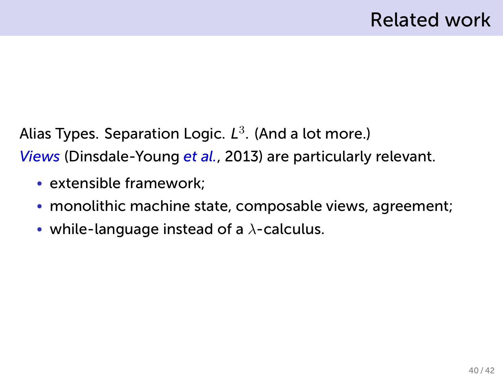Alias Types. Separation Logic. *L* 3 . (And a lot more.) *Views* (Dinsdale-Young *et al.*, 2013) are particularly relevant.

- extensible framework;
- monolithic machine state, composable views, agreement;
- while-language instead of a *λ*-calculus.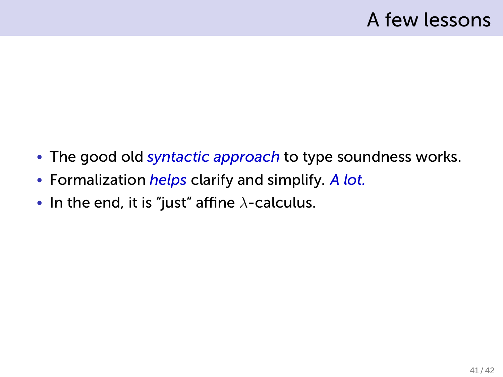- The good old *syntactic approach* to type soundness works.
- Formalization *helps* clarify and simplify. *A lot.*
- In the end, it is "just" affine *λ*-calculus.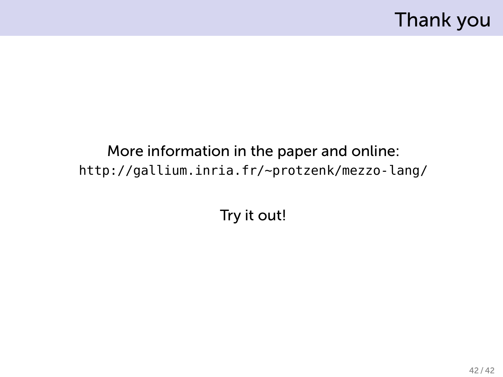# Thank you

More information in the paper and online: http://gallium.inria.fr/~protzenk/mezzo-lang/

Try it out!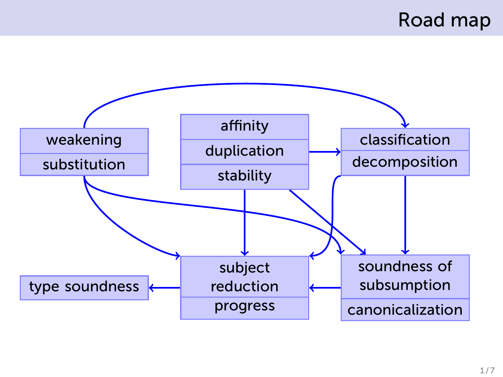# Road map

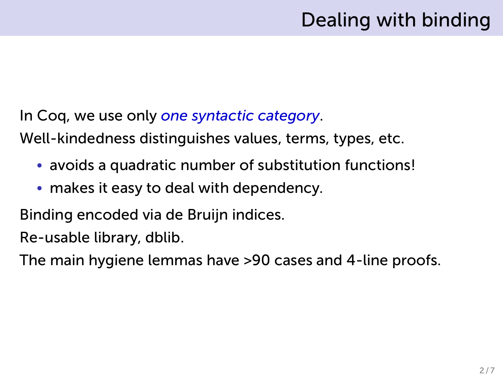# Dealing with binding

In Coq, we use only *one syntactic category*.

Well-kindedness distinguishes values, terms, types, etc.

- avoids a quadratic number of substitution functions!
- makes it easy to deal with dependency.

Binding encoded via de Bruijn indices.

Re-usable library, dblib.

The main hygiene lemmas have >90 cases and 4-line proofs.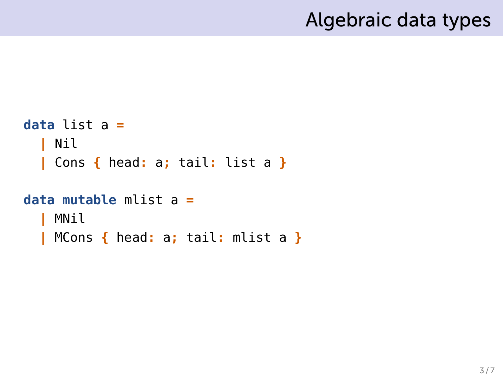# Algebraic data types

```
data list a =
  | Nil
  | Cons { head: a; tail: list a }
data mutable mlist a =
  | MNil
  | MCons { head: a; tail: mlist a }
```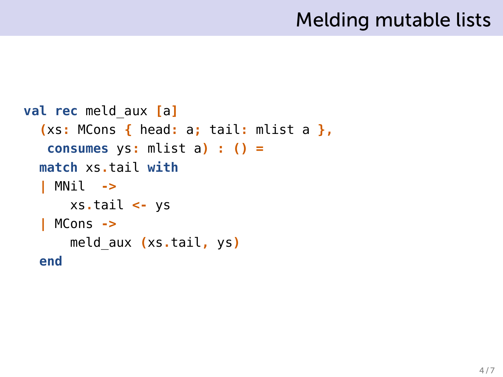# Melding mutable lists

```
val rec meld_aux [a]
  (xs: MCons { head: a; tail: mlist a },
   consumes ys: mlist a) : () =
  match xs.tail with
  | MNil ->
      xs.tail <- ys
  | MCons ->
      meld_aux (xs.tail, ys)
  end
```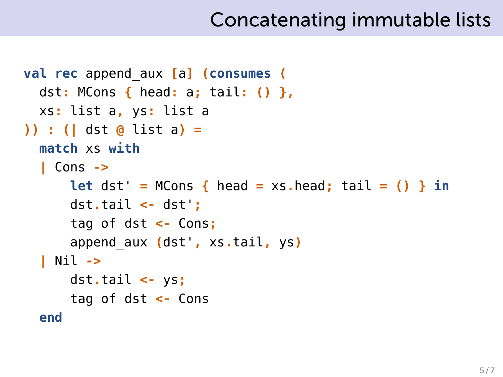# Concatenating immutable lists

```
val rec append_aux [a] (consumes (
  dst: MCons { head: a; tail: () },
  xs: list a, ys: list a
)) : (| dst @ list a) =
  match xs with
  | Cons ->
      let dst' = MCons { head = xs.head; tail = () } in
      dst.tail <- dst';
      tag of dst <- Cons;
      append_aux (dst', xs.tail, ys)
  | Nil ->
      dst.tail <- ys;
      tag of dst <- Cons
  end
```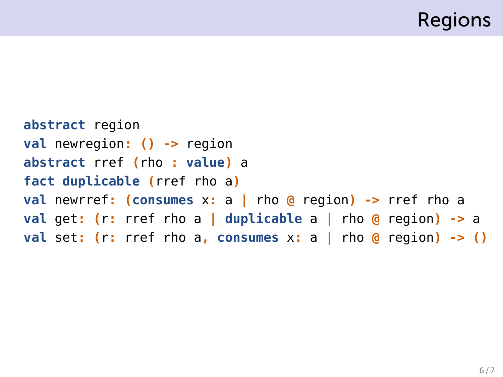# Regions

```
abstract region
val newregion: () -> region
abstract rref (rho : value) a
fact duplicable (rref rho a)
val newrref: (consumes x: a | rho @ region) -> rref rho a
val get: (r: rref rho a | duplicable a | rho @ region) -> a
val set: (r: rref rho a, consumes x: a | rho @ region) -> ()
```